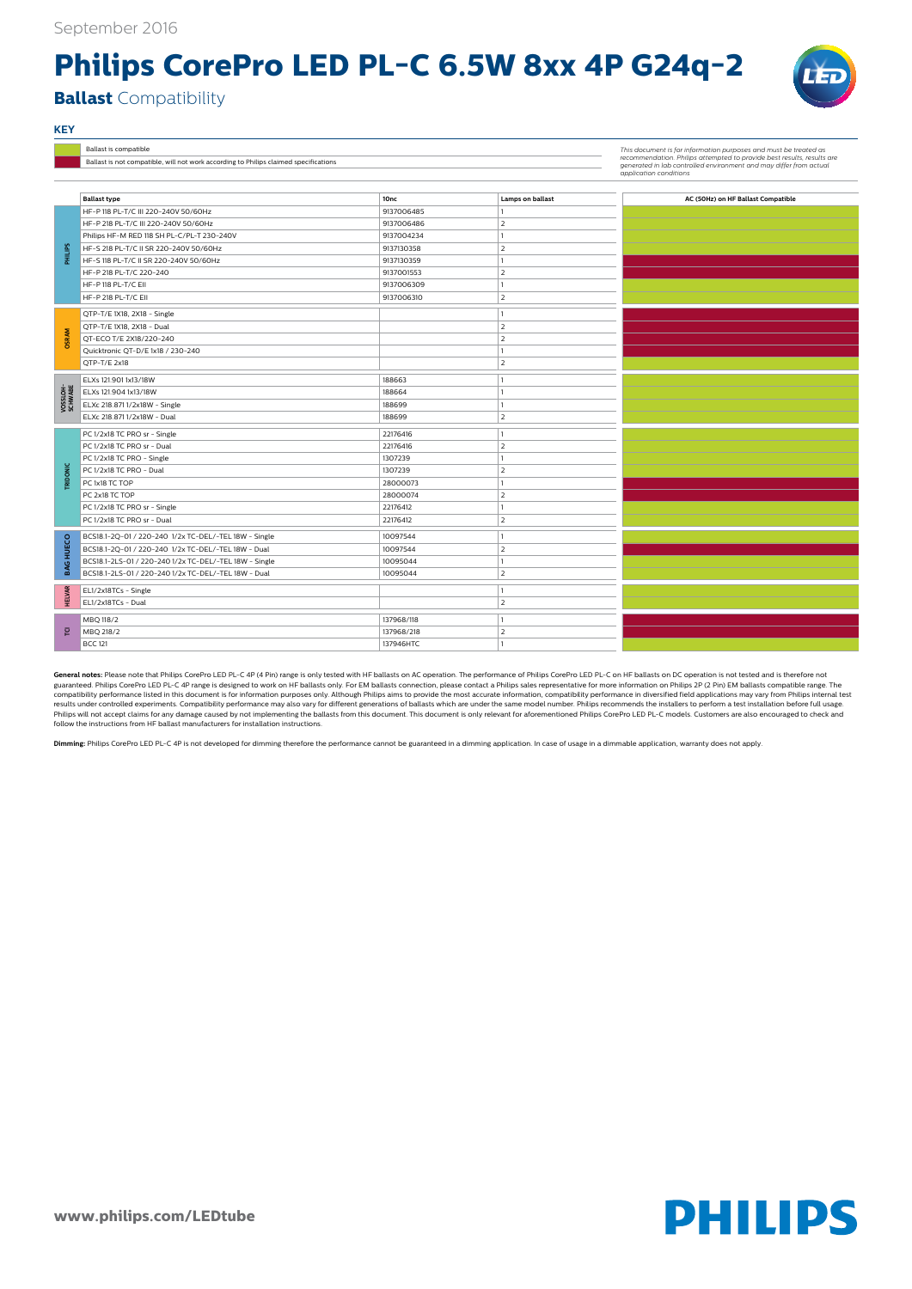**www.philips.com/LEDtube**



## **Philips CorePro LED PL-C 6.5W 8xx 4P G24q-2**



**Ballast** Compatibility

ELXc 218.871 1/2x18W - Dual 188699 2

PC 1/2x18 TC PRO sr - Single 22176416 22176416 1 PC 1/2x18 TC PRO sr - Dual 22176416 2 PC 1/2x18 TC PRO - Single 1307239 1 PC 1/2x18 TC PRO - Dual 2 PC 1x18 TC TOP 28000073 1 PC 2x18 TC TOP 28000074 28000074 PC 1/2x18 TC PRO sr - Single 22176412 22176412 PC 1/2x18 TC PRO sr - Dual 22176412 22176412 22176412

BCS18.1-2Q-01 / 220-240 1/2x TC-DEL/-TEL 18W - Single 10097544 10097544 10097544 10097544 BCS18.1-2Q-01 / 220-240 1/2x TC-DEL/-TEL 18W - Dual 10097544 2

**TRIDONIC**

|  |                     | Ballast is compatible                                                                |                  | This document is for information purposes and must be treated as<br>recommendation. Philips attempted to provide best results, results are<br>generated in lab controlled environment and may differ from actual<br>application conditions |                                    |
|--|---------------------|--------------------------------------------------------------------------------------|------------------|--------------------------------------------------------------------------------------------------------------------------------------------------------------------------------------------------------------------------------------------|------------------------------------|
|  |                     | Ballast is not compatible, will not work according to Philips claimed specifications |                  |                                                                                                                                                                                                                                            |                                    |
|  |                     |                                                                                      |                  |                                                                                                                                                                                                                                            |                                    |
|  |                     |                                                                                      |                  |                                                                                                                                                                                                                                            |                                    |
|  |                     | <b>Ballast type</b>                                                                  | 10 <sub>nc</sub> | <b>Lamps on ballast</b>                                                                                                                                                                                                                    | AC (50Hz) on HF Ballast Compatible |
|  |                     | HF-P 118 PL-T/C III 220-240V 50/60Hz                                                 | 9137006485       |                                                                                                                                                                                                                                            |                                    |
|  |                     | HF-P 218 PL-T/C III 220-240V 50/60Hz                                                 | 9137006486       |                                                                                                                                                                                                                                            |                                    |
|  |                     | Philips HF-M RED 118 SH PL-C/PL-T 230-240V                                           | 9137004234       |                                                                                                                                                                                                                                            |                                    |
|  | <b>PHILIPS</b>      | HF-S 218 PL-T/C II SR 220-240V 50/60Hz                                               | 9137130358       |                                                                                                                                                                                                                                            |                                    |
|  |                     | HF-S 118 PL-T/C II SR 220-240V 50/60Hz                                               | 9137130359       |                                                                                                                                                                                                                                            |                                    |
|  |                     | HF-P 218 PL-T/C 220-240                                                              | 9137001553       |                                                                                                                                                                                                                                            |                                    |
|  |                     | HF-P118 PL-T/C EII                                                                   | 9137006309       |                                                                                                                                                                                                                                            |                                    |
|  |                     | HF-P 218 PL-T/C EII                                                                  | 9137006310       |                                                                                                                                                                                                                                            |                                    |
|  |                     | QTP-T/E 1X18, 2X18 - Single                                                          |                  |                                                                                                                                                                                                                                            |                                    |
|  |                     | QTP-T/E 1X18, 2X18 - Dual                                                            |                  |                                                                                                                                                                                                                                            |                                    |
|  | <b>OSRAM</b>        | QT-ECO T/E 2X18/220-240                                                              |                  |                                                                                                                                                                                                                                            |                                    |
|  |                     | Quicktronic QT-D/E 1x18 / 230-240                                                    |                  |                                                                                                                                                                                                                                            |                                    |
|  |                     | QTP-T/E 2x18                                                                         |                  |                                                                                                                                                                                                                                            |                                    |
|  |                     | ELXs 121.901 1x13/18W                                                                | 188663           |                                                                                                                                                                                                                                            |                                    |
|  | VOSSLOH-<br>SCHWABE | ELXs 121.904 1x13/18W                                                                | 188664           |                                                                                                                                                                                                                                            |                                    |
|  |                     | ELXc 218.8711/2x18W - Single                                                         | 188699           |                                                                                                                                                                                                                                            |                                    |
|  |                     |                                                                                      |                  |                                                                                                                                                                                                                                            |                                    |

**KEY**

guaranteed. Philips CorePro LED PL-C 4P range is designed to work on HF ballasts only. For EM ballasts connection, please contact a Philips sales representative for more information on Philips 2P (2 Pin) EM ballasts compat compatibility performance listed in this document is for information purposes only. Although Philips aims to provide the most accurate information, compatibility performance in diversified field applications may vary from results under controlled experiments. Compatibility performance may also vary for different generations of ballasts which are under the same model number. Philips recommends the installers to perform a test installation be Philips will not accept claims for any damage caused by not implementing the ballasts from this document. This document is only relevant for aforementioned Philips CorePro LED PL-C models. Customers are also encouraged to follow the instructions from HF ballast manufacturers for installation instructions.

| 8    | BCS18.1-2Q-01 / 220-240 1/2x TC-DEL/-TEL 18W - Single  | 10097544   |  |
|------|--------------------------------------------------------|------------|--|
| m    | BCS18.1-2Q-01 / 220-240 1/2x TC-DEL/-TEL 18W - Dual    | 10097544   |  |
| BAG  | BCS18.1-2LS-01 / 220-240 1/2x TC-DEL/-TEL 18W - Single | 10095044   |  |
|      | BCS18.1-2LS-01 / 220-240 1/2x TC-DEL/-TEL 18W - Dual   | 10095044   |  |
| LVAR | EL1/2x18TCs - Single                                   |            |  |
| 뿌    | EL1/2x18TCs - Dual                                     |            |  |
|      | MBQ 118/2                                              | 137968/118 |  |
| 한    | MBQ 218/2                                              | 137968/218 |  |
|      | <b>BCC 121</b>                                         | 137946HTC  |  |

**Dimming:** Philips CorePro LED PL-C 4P is not developed for dimming therefore the performance cannot be guaranteed in a dimming application. In case of usage in a dimmable application, warranty does not apply.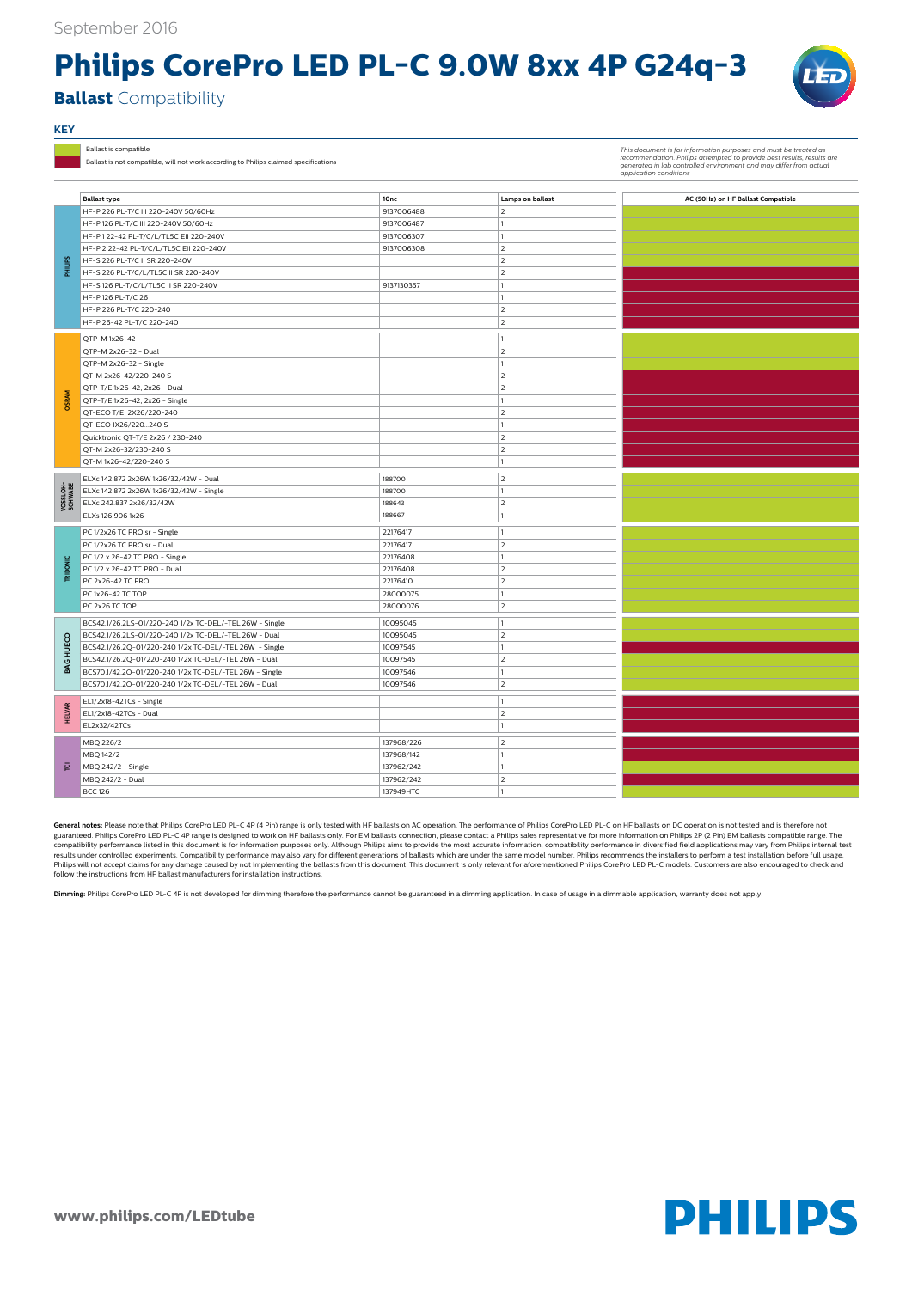**www.philips.com/LEDtube**



## **Philips CorePro LED PL-C 9.0W 8xx 4P G24q-3**

**Ballast** Compatibility

|                     | Ballast type                                            | 10nc       | Lamps on ballast               | AC (50Hz) on HF Ballast Compatible |
|---------------------|---------------------------------------------------------|------------|--------------------------------|------------------------------------|
|                     | HF-P 226 PL-T/C III 220-240V 50/60Hz                    | 9137006488 | 2                              |                                    |
|                     | HF-P 126 PL-T/C III 220-240V 50/60Hz                    | 9137006487 |                                |                                    |
|                     | HF-P122-42 PL-T/C/L/TL5C EII 220-240V                   | 9137006307 | 1                              |                                    |
|                     | HF-P 2 22-42 PL-T/C/L/TL5C EII 220-240V                 | 9137006308 | $\overline{2}$                 |                                    |
|                     | HF-S 226 PL-T/C II SR 220-240V                          |            | $\overline{2}$                 |                                    |
| SdilliHd            | HF-S 226 PL-T/C/L/TL5C II SR 220-240V                   |            | $\overline{2}$                 |                                    |
|                     | HF-S 126 PL-T/C/L/TL5C II SR 220-240V                   | 9137130357 | 1                              |                                    |
|                     | HF-P126 PL-T/C 26                                       |            | 1                              |                                    |
|                     | HF-P 226 PL-T/C 220-240                                 |            | $\overline{2}$                 |                                    |
|                     | HF-P 26-42 PL-T/C 220-240                               |            | $\overline{2}$                 |                                    |
|                     | QTP-M 1x26-42                                           |            | $\mathbf{1}$                   |                                    |
|                     | QTP-M 2x26-32 - Dual                                    |            | $\overline{2}$                 |                                    |
|                     | QTP-M 2x26-32 - Single                                  |            | 1                              |                                    |
|                     | QT-M 2x26-42/220-240 S                                  |            | $\overline{2}$                 |                                    |
|                     | QTP-T/E 1x26-42, 2x26 - Dual                            |            | $\overline{2}$                 |                                    |
| <b>OSRAM</b>        | QTP-T/E 1x26-42, 2x26 - Single                          |            |                                |                                    |
|                     | QT-ECO T/E 2X26/220-240                                 |            | $\overline{2}$                 |                                    |
|                     | QT-ECO 1X26/220240 S                                    |            | 1                              |                                    |
|                     | Quicktronic QT-T/E 2x26 / 230-240                       |            | $\overline{2}$                 |                                    |
|                     | QT-M 2x26-32/230-240 S                                  |            | $\overline{2}$                 |                                    |
|                     | QT-M 1x26-42/220-240 S                                  |            | $\mathbf{1}$                   |                                    |
|                     | ELXc 142.872 2x26W 1x26/32/42W - Dual                   | 188700     | $\overline{2}$                 |                                    |
|                     | ELXc 142.872 2x26W 1x26/32/42W - Single                 | 188700     |                                |                                    |
| VOSSLOH-<br>SCHWABE | ELXc 242.837 2x26/32/42W                                | 188643     | $\overline{2}$                 |                                    |
|                     | ELXs 126.906 1x26                                       | 188667     | 1                              |                                    |
|                     |                                                         |            |                                |                                    |
|                     | PC 1/2x26 TC PRO sr - Single                            | 22176417   | 1                              |                                    |
|                     | PC 1/2x26 TC PRO sr - Dual                              | 22176417   | $\overline{2}$                 |                                    |
|                     | PC 1/2 x 26-42 TC PRO - Single                          | 22176408   | 1                              |                                    |
| TRIDONIC            | PC 1/2 x 26-42 TC PRO - Dual                            | 22176408   | $\overline{2}$                 |                                    |
|                     | PC 2x26-42 TC PRO                                       | 22176410   | $\overline{2}$<br>$\mathbf{1}$ |                                    |
|                     | PC 1x26-42 TC TOP                                       | 28000075   |                                |                                    |
|                     | PC 2x26 TC TOP                                          | 28000076   | $\overline{2}$                 |                                    |
|                     | BCS42.1/26.2LS-01/220-240 1/2x TC-DEL/-TEL 26W - Single | 10095045   | 1                              |                                    |
|                     | BCS42.1/26.2LS-01/220-240 1/2x TC-DEL/-TEL 26W - Dual   | 10095045   | $\overline{2}$                 |                                    |
| <b>HUECO</b>        | BCS42.1/26.2Q-01/220-240 1/2x TC-DEL/-TEL 26W - Single  | 10097545   | 1                              |                                    |
| BAG                 | BCS42.1/26.2Q-01/220-240 1/2x TC-DEL/-TEL 26W - Dual    | 10097545   | $\overline{2}$                 |                                    |
|                     | BCS70.1/42.2Q-01/220-240 1/2x TC-DEL/-TEL 26W - Single  | 10097546   | $\mathbf{1}$                   |                                    |
|                     | BCS70.1/42.2Q-01/220-240 1/2x TC-DEL/-TEL 26W - Dual    | 10097546   | $\overline{2}$                 |                                    |
|                     | EL1/2x18-42TCs - Single                                 |            | $\mathbf{1}$                   |                                    |
| <b>HELVAR</b>       | EL1/2x18-42TCs - Dual                                   |            | $\overline{2}$                 |                                    |
|                     | EL2x32/42TCs                                            |            | $\mathbf{1}$                   |                                    |
|                     | MBQ 226/2                                               | 137968/226 | $\overline{2}$                 |                                    |
|                     | MBQ 142/2                                               | 137968/142 | $\mathbf{1}$                   |                                    |
| 힡                   | MBQ 242/2 - Single                                      | 137962/242 | 1                              |                                    |
|                     | MBQ 242/2 - Dual                                        | 137962/242 | $\overline{2}$                 |                                    |
|                     | <b>BCC 126</b>                                          | 137949HTC  |                                |                                    |

General notes: Please note that Philips CorePro LED PL-C 4P (4 Pin) range is only tested with HF ballasts on AC operation. The performance of Philips CorePro LED PL-C on HF ballasts on DC operation is not tested and is the guaranteed. Philips CorePro LED PL-C 4P range is designed to work on HF ballasts only. For EM ballasts connection, please contact a Philips sales representative for more information on Philips 2P (2 Pin) EM ballasts compat compatibility performance listed in this document is for information purposes only. Although Philips aims to provide the most accurate information, compatibility performance in diversified field applications may vary from results under controlled experiments. Compatibility performance may also vary for different generations of ballasts which are under the same model number. Philips recommends the installers to perform a test installation be Philips will not accept claims for any damage caused by not implementing the ballasts from this document. This document is only relevant for aforementioned Philips CorePro LED PL-C models. Customers are also encouraged to follow the instructions from HF ballast manufacturers for installation instructions.

## **KEY**

Ballast is compatible *This document is for information purposes and must be treated as*  Ballast is not compatible, will not work according to Philips claimed specifications

*recommendation. Philips attempted to provide best results, results are generated in lab controlled environment and may differ from actual application conditions*

**Dimming:** Philips CorePro LED PL-C 4P is not developed for dimming therefore the performance cannot be guaranteed in a dimming application. In case of usage in a dimmable application, warranty does not apply.